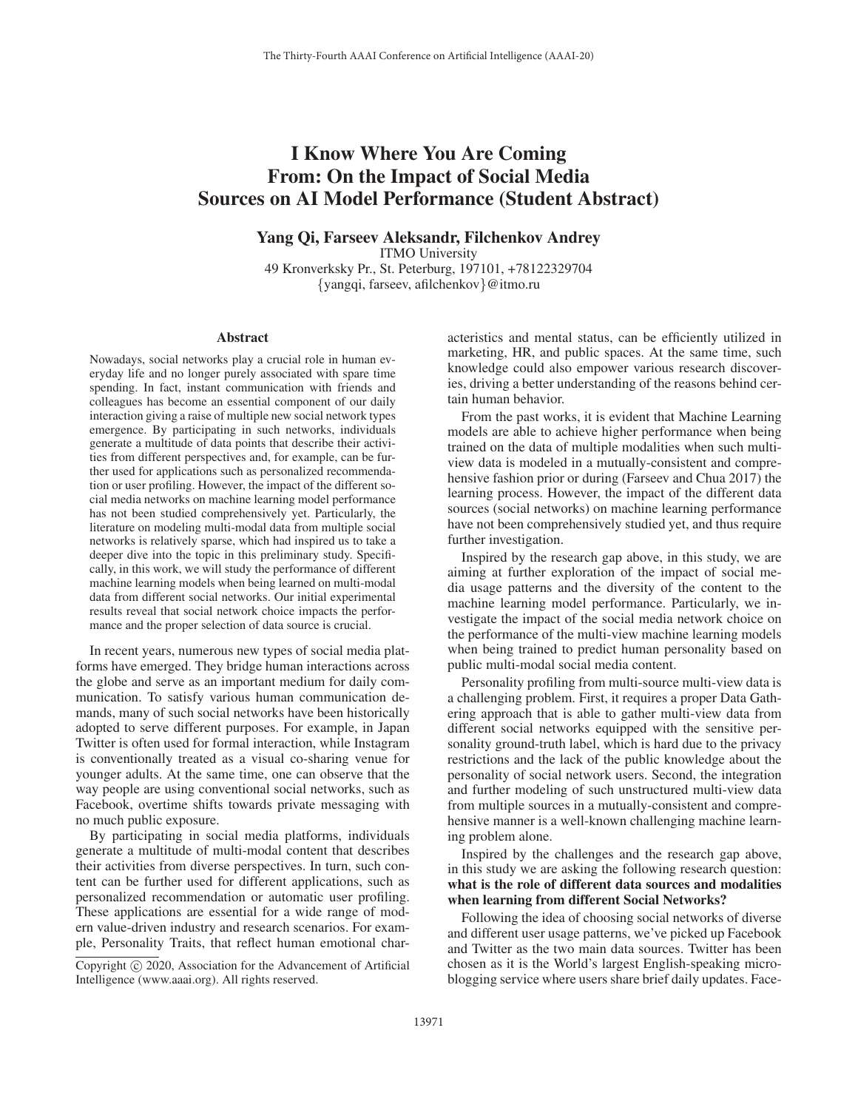## I Know Where You Are Coming From: On the Impact of Social Media Sources on AI Model Performance (Student Abstract)

Yang Qi, Farseev Aleksandr, Filchenkov Andrey

ITMO University 49 Kronverksky Pr., St. Peterburg, 197101, +78122329704

{yangqi, farseev, afilchenkov}@itmo.ru

## Abstract

Nowadays, social networks play a crucial role in human everyday life and no longer purely associated with spare time spending. In fact, instant communication with friends and colleagues has become an essential component of our daily interaction giving a raise of multiple new social network types emergence. By participating in such networks, individuals generate a multitude of data points that describe their activities from different perspectives and, for example, can be further used for applications such as personalized recommendation or user profiling. However, the impact of the different social media networks on machine learning model performance has not been studied comprehensively yet. Particularly, the literature on modeling multi-modal data from multiple social networks is relatively sparse, which had inspired us to take a deeper dive into the topic in this preliminary study. Specifically, in this work, we will study the performance of different machine learning models when being learned on multi-modal data from different social networks. Our initial experimental results reveal that social network choice impacts the performance and the proper selection of data source is crucial.

In recent years, numerous new types of social media platforms have emerged. They bridge human interactions across the globe and serve as an important medium for daily communication. To satisfy various human communication demands, many of such social networks have been historically adopted to serve different purposes. For example, in Japan Twitter is often used for formal interaction, while Instagram is conventionally treated as a visual co-sharing venue for younger adults. At the same time, one can observe that the way people are using conventional social networks, such as Facebook, overtime shifts towards private messaging with no much public exposure.

By participating in social media platforms, individuals generate a multitude of multi-modal content that describes their activities from diverse perspectives. In turn, such content can be further used for different applications, such as personalized recommendation or automatic user profiling. These applications are essential for a wide range of modern value-driven industry and research scenarios. For example, Personality Traits, that reflect human emotional characteristics and mental status, can be efficiently utilized in marketing, HR, and public spaces. At the same time, such knowledge could also empower various research discoveries, driving a better understanding of the reasons behind certain human behavior.

From the past works, it is evident that Machine Learning models are able to achieve higher performance when being trained on the data of multiple modalities when such multiview data is modeled in a mutually-consistent and comprehensive fashion prior or during (Farseev and Chua 2017) the learning process. However, the impact of the different data sources (social networks) on machine learning performance have not been comprehensively studied yet, and thus require further investigation.

Inspired by the research gap above, in this study, we are aiming at further exploration of the impact of social media usage patterns and the diversity of the content to the machine learning model performance. Particularly, we investigate the impact of the social media network choice on the performance of the multi-view machine learning models when being trained to predict human personality based on public multi-modal social media content.

Personality profiling from multi-source multi-view data is a challenging problem. First, it requires a proper Data Gathering approach that is able to gather multi-view data from different social networks equipped with the sensitive personality ground-truth label, which is hard due to the privacy restrictions and the lack of the public knowledge about the personality of social network users. Second, the integration and further modeling of such unstructured multi-view data from multiple sources in a mutually-consistent and comprehensive manner is a well-known challenging machine learning problem alone.

Inspired by the challenges and the research gap above, in this study we are asking the following research question: what is the role of different data sources and modalities when learning from different Social Networks?

Following the idea of choosing social networks of diverse and different user usage patterns, we've picked up Facebook and Twitter as the two main data sources. Twitter has been chosen as it is the World's largest English-speaking microblogging service where users share brief daily updates. Face-

Copyright  $\odot$  2020, Association for the Advancement of Artificial Intelligence (www.aaai.org). All rights reserved.